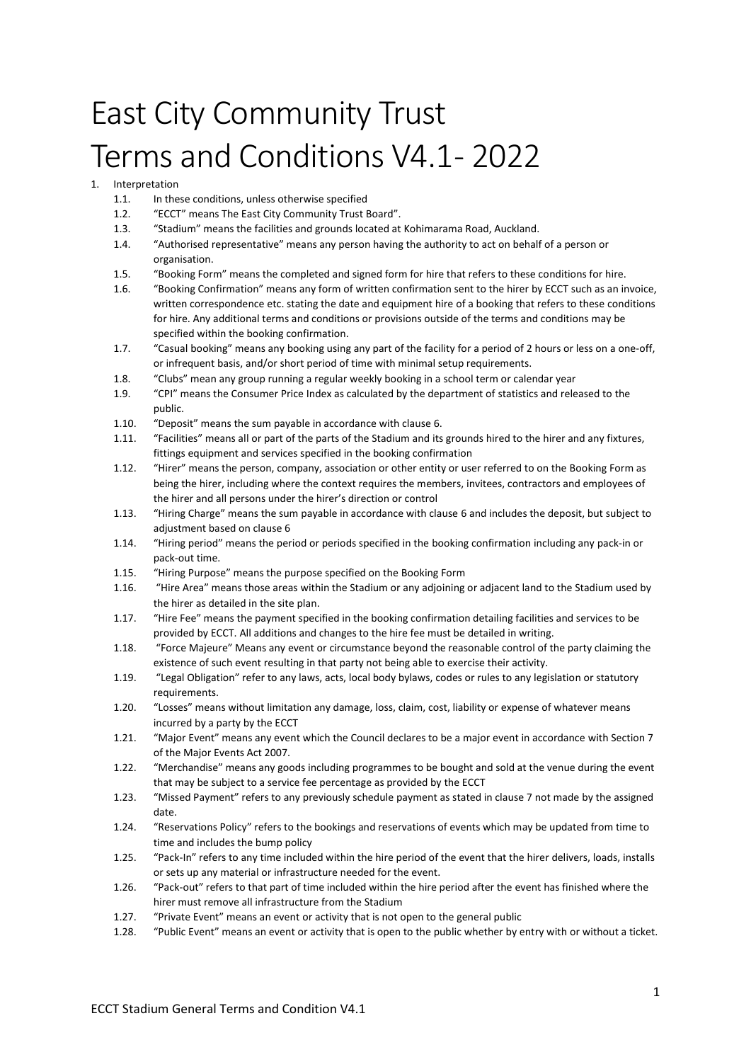# East City Community Trust Terms and Conditions V4.1- 2022

## **Interpretation**

- 1.1. In these conditions, unless otherwise specified
- 1.2. "ECCT" means The East City Community Trust Board".
- 1.3. "Stadium" means the facilities and grounds located at Kohimarama Road, Auckland.
- 1.4. "Authorised representative" means any person having the authority to act on behalf of a person or organisation.
- 1.5. "Booking Form" means the completed and signed form for hire that refers to these conditions for hire.
- 1.6. "Booking Confirmation" means any form of written confirmation sent to the hirer by ECCT such as an invoice, written correspondence etc. stating the date and equipment hire of a booking that refers to these conditions for hire. Any additional terms and conditions or provisions outside of the terms and conditions may be specified within the booking confirmation.
- 1.7. "Casual booking" means any booking using any part of the facility for a period of 2 hours or less on a one-off, or infrequent basis, and/or short period of time with minimal setup requirements.
- 1.8. "Clubs" mean any group running a regular weekly booking in a school term or calendar year
- 1.9. "CPI" means the Consumer Price Index as calculated by the department of statistics and released to the public.
- 1.10. "Deposit" means the sum payable in accordance with clause 6.
- 1.11. "Facilities" means all or part of the parts of the Stadium and its grounds hired to the hirer and any fixtures, fittings equipment and services specified in the booking confirmation
- 1.12. "Hirer" means the person, company, association or other entity or user referred to on the Booking Form as being the hirer, including where the context requires the members, invitees, contractors and employees of the hirer and all persons under the hirer's direction or control
- 1.13. "Hiring Charge" means the sum payable in accordance with clause 6 and includes the deposit, but subject to adjustment based on clause 6
- 1.14. "Hiring period" means the period or periods specified in the booking confirmation including any pack-in or pack-out time.
- 1.15. "Hiring Purpose" means the purpose specified on the Booking Form
- 1.16. "Hire Area" means those areas within the Stadium or any adjoining or adjacent land to the Stadium used by the hirer as detailed in the site plan.
- 1.17. "Hire Fee" means the payment specified in the booking confirmation detailing facilities and services to be provided by ECCT. All additions and changes to the hire fee must be detailed in writing.
- 1.18. "Force Majeure" Means any event or circumstance beyond the reasonable control of the party claiming the existence of such event resulting in that party not being able to exercise their activity.
- 1.19. "Legal Obligation" refer to any laws, acts, local body bylaws, codes or rules to any legislation or statutory requirements.
- 1.20. "Losses" means without limitation any damage, loss, claim, cost, liability or expense of whatever means incurred by a party by the ECCT
- 1.21. "Major Event" means any event which the Council declares to be a major event in accordance with Section 7 of the Major Events Act 2007.
- 1.22. "Merchandise" means any goods including programmes to be bought and sold at the venue during the event that may be subject to a service fee percentage as provided by the ECCT
- 1.23. "Missed Payment" refers to any previously schedule payment as stated in clause 7 not made by the assigned date.
- 1.24. "Reservations Policy" refers to the bookings and reservations of events which may be updated from time to time and includes the bump policy
- 1.25. "Pack-In" refers to any time included within the hire period of the event that the hirer delivers, loads, installs or sets up any material or infrastructure needed for the event.
- 1.26. "Pack-out" refers to that part of time included within the hire period after the event has finished where the hirer must remove all infrastructure from the Stadium
- 1.27. "Private Event" means an event or activity that is not open to the general public
- 1.28. "Public Event" means an event or activity that is open to the public whether by entry with or without a ticket.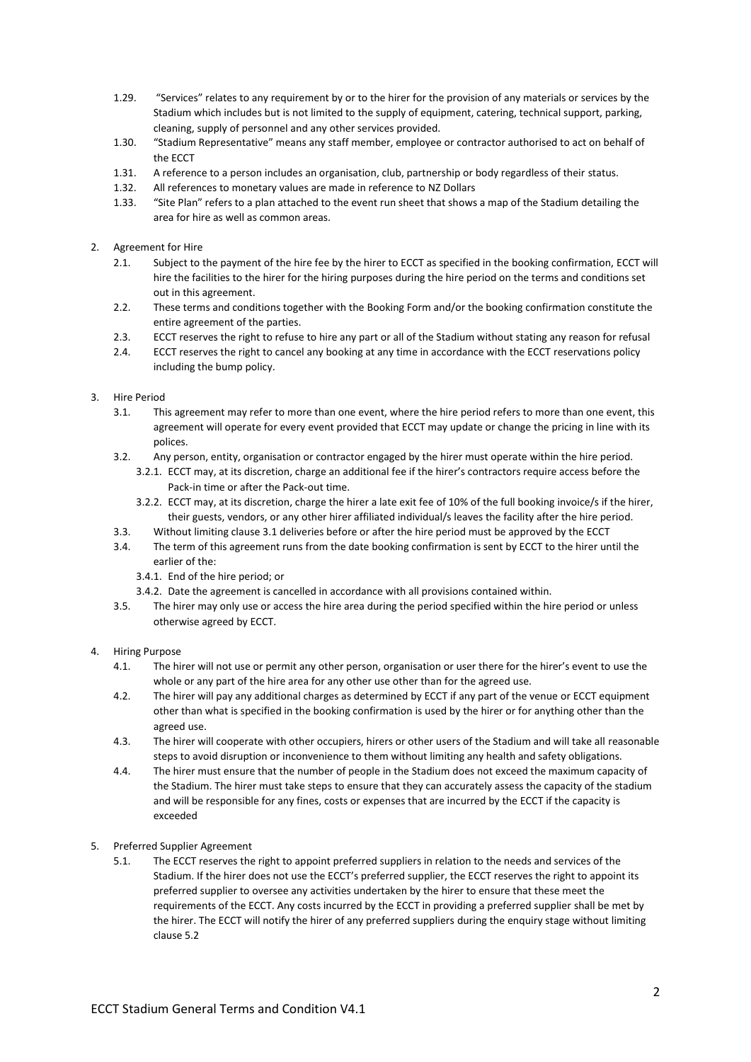- 1.29. "Services" relates to any requirement by or to the hirer for the provision of any materials or services by the Stadium which includes but is not limited to the supply of equipment, catering, technical support, parking, cleaning, supply of personnel and any other services provided.
- 1.30. "Stadium Representative" means any staff member, employee or contractor authorised to act on behalf of the ECCT
- 1.31. A reference to a person includes an organisation, club, partnership or body regardless of their status.
- 1.32. All references to monetary values are made in reference to NZ Dollars
- 1.33. "Site Plan" refers to a plan attached to the event run sheet that shows a map of the Stadium detailing the area for hire as well as common areas.
- 2. Agreement for Hire
	- 2.1. Subject to the payment of the hire fee by the hirer to ECCT as specified in the booking confirmation, ECCT will hire the facilities to the hirer for the hiring purposes during the hire period on the terms and conditions set out in this agreement.
	- 2.2. These terms and conditions together with the Booking Form and/or the booking confirmation constitute the entire agreement of the parties.
	- 2.3. ECCT reserves the right to refuse to hire any part or all of the Stadium without stating any reason for refusal
	- 2.4. ECCT reserves the right to cancel any booking at any time in accordance with the ECCT reservations policy including the bump policy.
- 3. Hire Period
	- 3.1. This agreement may refer to more than one event, where the hire period refers to more than one event, this agreement will operate for every event provided that ECCT may update or change the pricing in line with its polices.
	- 3.2. Any person, entity, organisation or contractor engaged by the hirer must operate within the hire period.
		- 3.2.1. ECCT may, at its discretion, charge an additional fee if the hirer's contractors require access before the Pack-in time or after the Pack-out time.
		- 3.2.2. ECCT may, at its discretion, charge the hirer a late exit fee of 10% of the full booking invoice/s if the hirer, their guests, vendors, or any other hirer affiliated individual/s leaves the facility after the hire period.
	- 3.3. Without limiting clause 3.1 deliveries before or after the hire period must be approved by the ECCT
	- 3.4. The term of this agreement runs from the date booking confirmation is sent by ECCT to the hirer until the earlier of the:
		- 3.4.1. End of the hire period; or
		- 3.4.2. Date the agreement is cancelled in accordance with all provisions contained within.
	- 3.5. The hirer may only use or access the hire area during the period specified within the hire period or unless otherwise agreed by ECCT.
- 4. Hiring Purpose
	- 4.1. The hirer will not use or permit any other person, organisation or user there for the hirer's event to use the whole or any part of the hire area for any other use other than for the agreed use.
	- 4.2. The hirer will pay any additional charges as determined by ECCT if any part of the venue or ECCT equipment other than what is specified in the booking confirmation is used by the hirer or for anything other than the agreed use.
	- 4.3. The hirer will cooperate with other occupiers, hirers or other users of the Stadium and will take all reasonable steps to avoid disruption or inconvenience to them without limiting any health and safety obligations.
	- 4.4. The hirer must ensure that the number of people in the Stadium does not exceed the maximum capacity of the Stadium. The hirer must take steps to ensure that they can accurately assess the capacity of the stadium and will be responsible for any fines, costs or expenses that are incurred by the ECCT if the capacity is exceeded
- 5. Preferred Supplier Agreement
	- 5.1. The ECCT reserves the right to appoint preferred suppliers in relation to the needs and services of the Stadium. If the hirer does not use the ECCT's preferred supplier, the ECCT reserves the right to appoint its preferred supplier to oversee any activities undertaken by the hirer to ensure that these meet the requirements of the ECCT. Any costs incurred by the ECCT in providing a preferred supplier shall be met by the hirer. The ECCT will notify the hirer of any preferred suppliers during the enquiry stage without limiting clause 5.2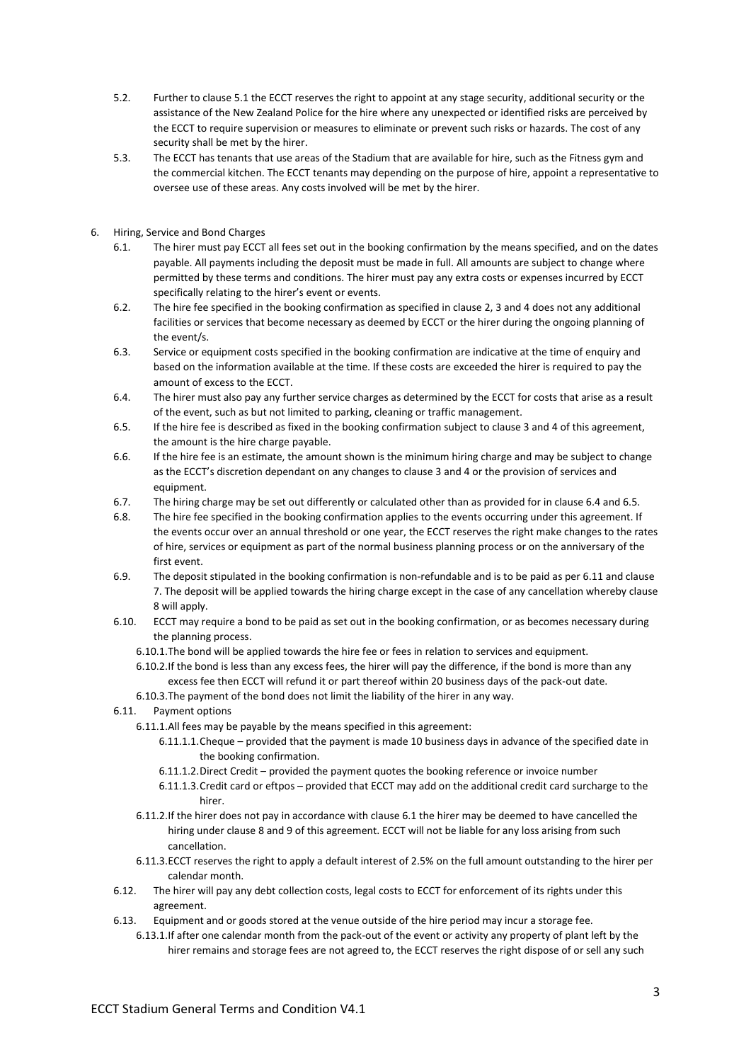- 5.2. Further to clause 5.1 the ECCT reserves the right to appoint at any stage security, additional security or the assistance of the New Zealand Police for the hire where any unexpected or identified risks are perceived by the ECCT to require supervision or measures to eliminate or prevent such risks or hazards. The cost of any security shall be met by the hirer.
- 5.3. The ECCT has tenants that use areas of the Stadium that are available for hire, such as the Fitness gym and the commercial kitchen. The ECCT tenants may depending on the purpose of hire, appoint a representative to oversee use of these areas. Any costs involved will be met by the hirer.
- 6. Hiring, Service and Bond Charges
	- 6.1. The hirer must pay ECCT all fees set out in the booking confirmation by the means specified, and on the dates payable. All payments including the deposit must be made in full. All amounts are subject to change where permitted by these terms and conditions. The hirer must pay any extra costs or expenses incurred by ECCT specifically relating to the hirer's event or events.
	- 6.2. The hire fee specified in the booking confirmation as specified in clause 2, 3 and 4 does not any additional facilities or services that become necessary as deemed by ECCT or the hirer during the ongoing planning of the event/s.
	- 6.3. Service or equipment costs specified in the booking confirmation are indicative at the time of enquiry and based on the information available at the time. If these costs are exceeded the hirer is required to pay the amount of excess to the ECCT.
	- 6.4. The hirer must also pay any further service charges as determined by the ECCT for costs that arise as a result of the event, such as but not limited to parking, cleaning or traffic management.
	- 6.5. If the hire fee is described as fixed in the booking confirmation subject to clause 3 and 4 of this agreement, the amount is the hire charge payable.
	- 6.6. If the hire fee is an estimate, the amount shown is the minimum hiring charge and may be subject to change as the ECCT's discretion dependant on any changes to clause 3 and 4 or the provision of services and equipment.
	- 6.7. The hiring charge may be set out differently or calculated other than as provided for in clause 6.4 and 6.5.
	- 6.8. The hire fee specified in the booking confirmation applies to the events occurring under this agreement. If the events occur over an annual threshold or one year, the ECCT reserves the right make changes to the rates of hire, services or equipment as part of the normal business planning process or on the anniversary of the first event.
	- 6.9. The deposit stipulated in the booking confirmation is non-refundable and is to be paid as per 6.11 and clause 7. The deposit will be applied towards the hiring charge except in the case of any cancellation whereby clause 8 will apply.
	- 6.10. ECCT may require a bond to be paid as set out in the booking confirmation, or as becomes necessary during the planning process.
		- 6.10.1.The bond will be applied towards the hire fee or fees in relation to services and equipment.
			- 6.10.2.If the bond is less than any excess fees, the hirer will pay the difference, if the bond is more than any excess fee then ECCT will refund it or part thereof within 20 business days of the pack-out date.
			- 6.10.3.The payment of the bond does not limit the liability of the hirer in any way.
	- 6.11. Payment options
		- 6.11.1.All fees may be payable by the means specified in this agreement:
			- 6.11.1.1.Cheque provided that the payment is made 10 business days in advance of the specified date in the booking confirmation.
			- 6.11.1.2.Direct Credit provided the payment quotes the booking reference or invoice number
			- 6.11.1.3.Credit card or eftpos provided that ECCT may add on the additional credit card surcharge to the hirer.
		- 6.11.2.If the hirer does not pay in accordance with clause 6.1 the hirer may be deemed to have cancelled the hiring under clause 8 and 9 of this agreement. ECCT will not be liable for any loss arising from such cancellation.
		- 6.11.3.ECCT reserves the right to apply a default interest of 2.5% on the full amount outstanding to the hirer per calendar month.
	- 6.12. The hirer will pay any debt collection costs, legal costs to ECCT for enforcement of its rights under this agreement.
	- 6.13. Equipment and or goods stored at the venue outside of the hire period may incur a storage fee.
		- 6.13.1.If after one calendar month from the pack-out of the event or activity any property of plant left by the hirer remains and storage fees are not agreed to, the ECCT reserves the right dispose of or sell any such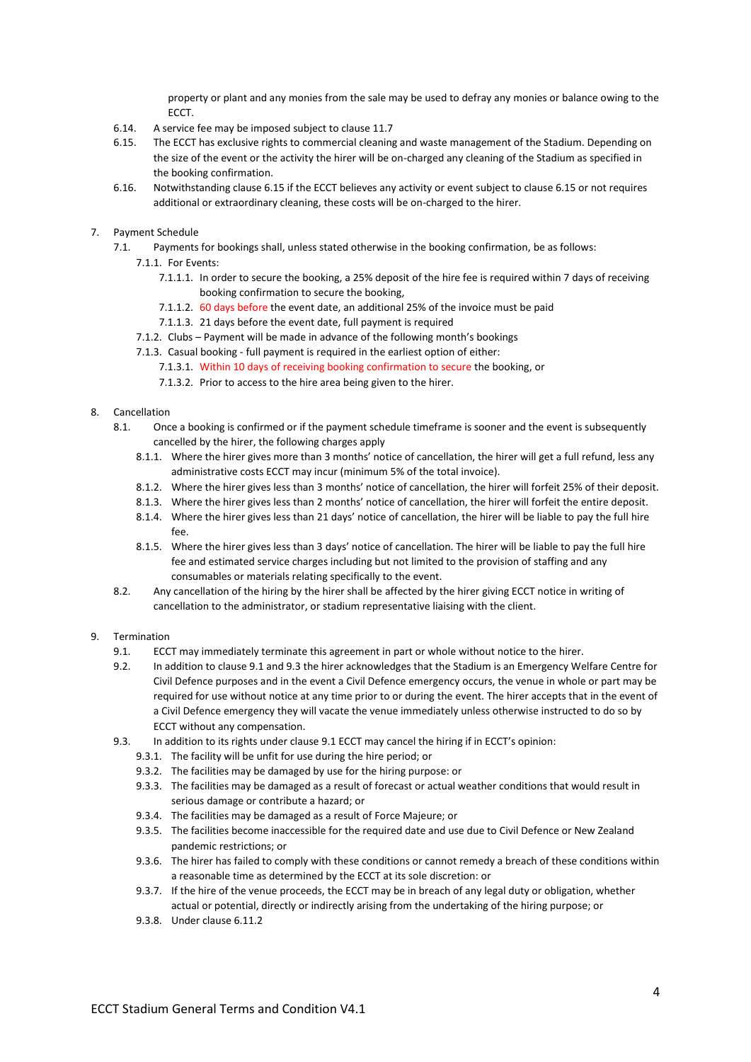property or plant and any monies from the sale may be used to defray any monies or balance owing to the **ECCT.** 

- 6.14. A service fee may be imposed subject to clause 11.7
- 6.15. The ECCT has exclusive rights to commercial cleaning and waste management of the Stadium. Depending on the size of the event or the activity the hirer will be on-charged any cleaning of the Stadium as specified in the booking confirmation.
- 6.16. Notwithstanding clause 6.15 if the ECCT believes any activity or event subject to clause 6.15 or not requires additional or extraordinary cleaning, these costs will be on-charged to the hirer.

### 7. Payment Schedule

- 7.1. Payments for bookings shall, unless stated otherwise in the booking confirmation, be as follows:
	- 7.1.1. For Events:
		- 7.1.1.1. In order to secure the booking, a 25% deposit of the hire fee is required within 7 days of receiving booking confirmation to secure the booking,
		- 7.1.1.2. 60 days before the event date, an additional 25% of the invoice must be paid
		- 7.1.1.3. 21 days before the event date, full payment is required
		- 7.1.2. Clubs Payment will be made in advance of the following month's bookings
		- 7.1.3. Casual booking full payment is required in the earliest option of either:
			- 7.1.3.1. Within 10 days of receiving booking confirmation to secure the booking, or
			- 7.1.3.2. Prior to access to the hire area being given to the hirer.

## 8. Cancellation

- 8.1. Once a booking is confirmed or if the payment schedule timeframe is sooner and the event is subsequently cancelled by the hirer, the following charges apply
	- 8.1.1. Where the hirer gives more than 3 months' notice of cancellation, the hirer will get a full refund, less any administrative costs ECCT may incur (minimum 5% of the total invoice).
	- 8.1.2. Where the hirer gives less than 3 months' notice of cancellation, the hirer will forfeit 25% of their deposit.
	- 8.1.3. Where the hirer gives less than 2 months' notice of cancellation, the hirer will forfeit the entire deposit.
	- 8.1.4. Where the hirer gives less than 21 days' notice of cancellation, the hirer will be liable to pay the full hire fee.
	- 8.1.5. Where the hirer gives less than 3 days' notice of cancellation. The hirer will be liable to pay the full hire fee and estimated service charges including but not limited to the provision of staffing and any consumables or materials relating specifically to the event.
- 8.2. Any cancellation of the hiring by the hirer shall be affected by the hirer giving ECCT notice in writing of cancellation to the administrator, or stadium representative liaising with the client.

#### 9. Termination

- 9.1. ECCT may immediately terminate this agreement in part or whole without notice to the hirer.
- 9.2. In addition to clause 9.1 and 9.3 the hirer acknowledges that the Stadium is an Emergency Welfare Centre for Civil Defence purposes and in the event a Civil Defence emergency occurs, the venue in whole or part may be required for use without notice at any time prior to or during the event. The hirer accepts that in the event of a Civil Defence emergency they will vacate the venue immediately unless otherwise instructed to do so by ECCT without any compensation.
- 9.3. In addition to its rights under clause 9.1 ECCT may cancel the hiring if in ECCT's opinion:
	- 9.3.1. The facility will be unfit for use during the hire period; or
	- 9.3.2. The facilities may be damaged by use for the hiring purpose: or
	- 9.3.3. The facilities may be damaged as a result of forecast or actual weather conditions that would result in serious damage or contribute a hazard; or
	- 9.3.4. The facilities may be damaged as a result of Force Majeure; or
	- 9.3.5. The facilities become inaccessible for the required date and use due to Civil Defence or New Zealand pandemic restrictions; or
	- 9.3.6. The hirer has failed to comply with these conditions or cannot remedy a breach of these conditions within a reasonable time as determined by the ECCT at its sole discretion: or
	- 9.3.7. If the hire of the venue proceeds, the ECCT may be in breach of any legal duty or obligation, whether actual or potential, directly or indirectly arising from the undertaking of the hiring purpose; or
	- 9.3.8. Under clause 6.11.2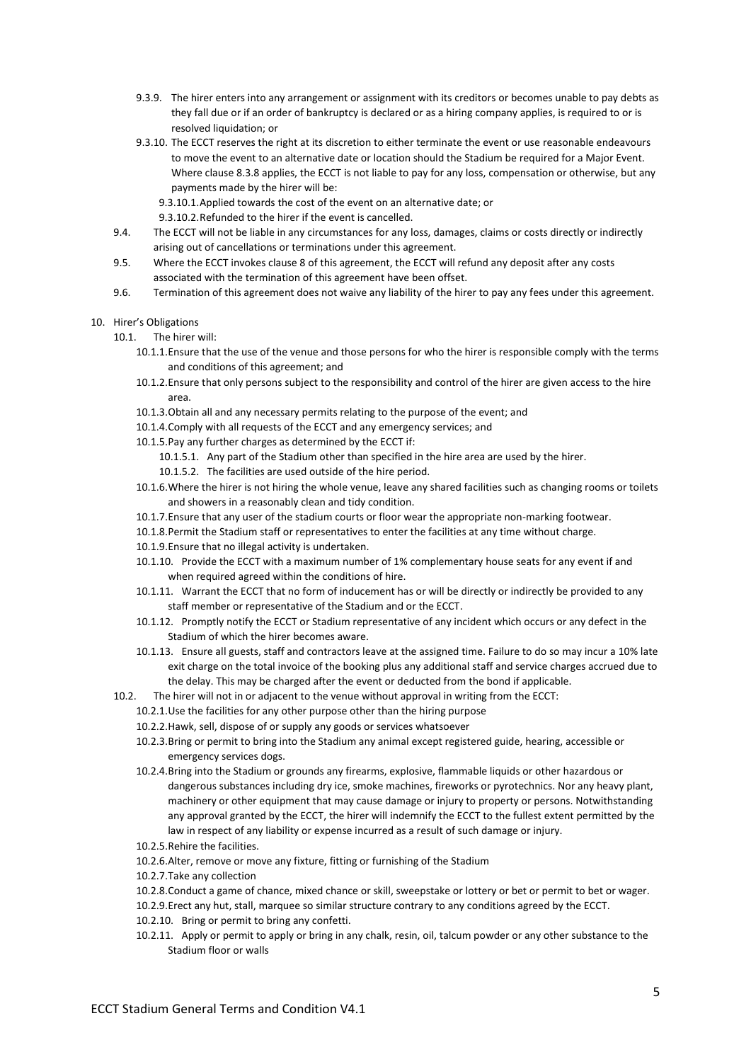- 9.3.9. The hirer enters into any arrangement or assignment with its creditors or becomes unable to pay debts as they fall due or if an order of bankruptcy is declared or as a hiring company applies, is required to or is resolved liquidation; or
- 9.3.10. The ECCT reserves the right at its discretion to either terminate the event or use reasonable endeavours to move the event to an alternative date or location should the Stadium be required for a Major Event. Where clause 8.3.8 applies, the ECCT is not liable to pay for any loss, compensation or otherwise, but any payments made by the hirer will be:
	- 9.3.10.1.Applied towards the cost of the event on an alternative date; or
	- 9.3.10.2.Refunded to the hirer if the event is cancelled.
- 9.4. The ECCT will not be liable in any circumstances for any loss, damages, claims or costs directly or indirectly arising out of cancellations or terminations under this agreement.
- 9.5. Where the ECCT invokes clause 8 of this agreement, the ECCT will refund any deposit after any costs associated with the termination of this agreement have been offset.
- 9.6. Termination of this agreement does not waive any liability of the hirer to pay any fees under this agreement.
- 10. Hirer's Obligations
	- 10.1. The hirer will:
		- 10.1.1.Ensure that the use of the venue and those persons for who the hirer is responsible comply with the terms and conditions of this agreement; and
		- 10.1.2.Ensure that only persons subject to the responsibility and control of the hirer are given access to the hire area.
		- 10.1.3.Obtain all and any necessary permits relating to the purpose of the event; and
		- 10.1.4.Comply with all requests of the ECCT and any emergency services; and
		- 10.1.5.Pay any further charges as determined by the ECCT if:
			- 10.1.5.1. Any part of the Stadium other than specified in the hire area are used by the hirer.
		- 10.1.5.2. The facilities are used outside of the hire period.
		- 10.1.6.Where the hirer is not hiring the whole venue, leave any shared facilities such as changing rooms or toilets and showers in a reasonably clean and tidy condition.
		- 10.1.7.Ensure that any user of the stadium courts or floor wear the appropriate non-marking footwear.
		- 10.1.8.Permit the Stadium staff or representatives to enter the facilities at any time without charge.
		- 10.1.9.Ensure that no illegal activity is undertaken.
		- 10.1.10. Provide the ECCT with a maximum number of 1% complementary house seats for any event if and when required agreed within the conditions of hire.
		- 10.1.11. Warrant the ECCT that no form of inducement has or will be directly or indirectly be provided to any staff member or representative of the Stadium and or the ECCT.
		- 10.1.12. Promptly notify the ECCT or Stadium representative of any incident which occurs or any defect in the Stadium of which the hirer becomes aware.
		- 10.1.13. Ensure all guests, staff and contractors leave at the assigned time. Failure to do so may incur a 10% late exit charge on the total invoice of the booking plus any additional staff and service charges accrued due to the delay. This may be charged after the event or deducted from the bond if applicable.
	- 10.2. The hirer will not in or adjacent to the venue without approval in writing from the ECCT:
		- 10.2.1.Use the facilities for any other purpose other than the hiring purpose
		- 10.2.2.Hawk, sell, dispose of or supply any goods or services whatsoever
		- 10.2.3.Bring or permit to bring into the Stadium any animal except registered guide, hearing, accessible or emergency services dogs.
		- 10.2.4.Bring into the Stadium or grounds any firearms, explosive, flammable liquids or other hazardous or dangerous substances including dry ice, smoke machines, fireworks or pyrotechnics. Nor any heavy plant, machinery or other equipment that may cause damage or injury to property or persons. Notwithstanding any approval granted by the ECCT, the hirer will indemnify the ECCT to the fullest extent permitted by the law in respect of any liability or expense incurred as a result of such damage or injury.
		- 10.2.5.Rehire the facilities.
		- 10.2.6.Alter, remove or move any fixture, fitting or furnishing of the Stadium
		- 10.2.7.Take any collection
		- 10.2.8.Conduct a game of chance, mixed chance or skill, sweepstake or lottery or bet or permit to bet or wager.
		- 10.2.9.Erect any hut, stall, marquee so similar structure contrary to any conditions agreed by the ECCT.
		- 10.2.10. Bring or permit to bring any confetti.
		- 10.2.11. Apply or permit to apply or bring in any chalk, resin, oil, talcum powder or any other substance to the Stadium floor or walls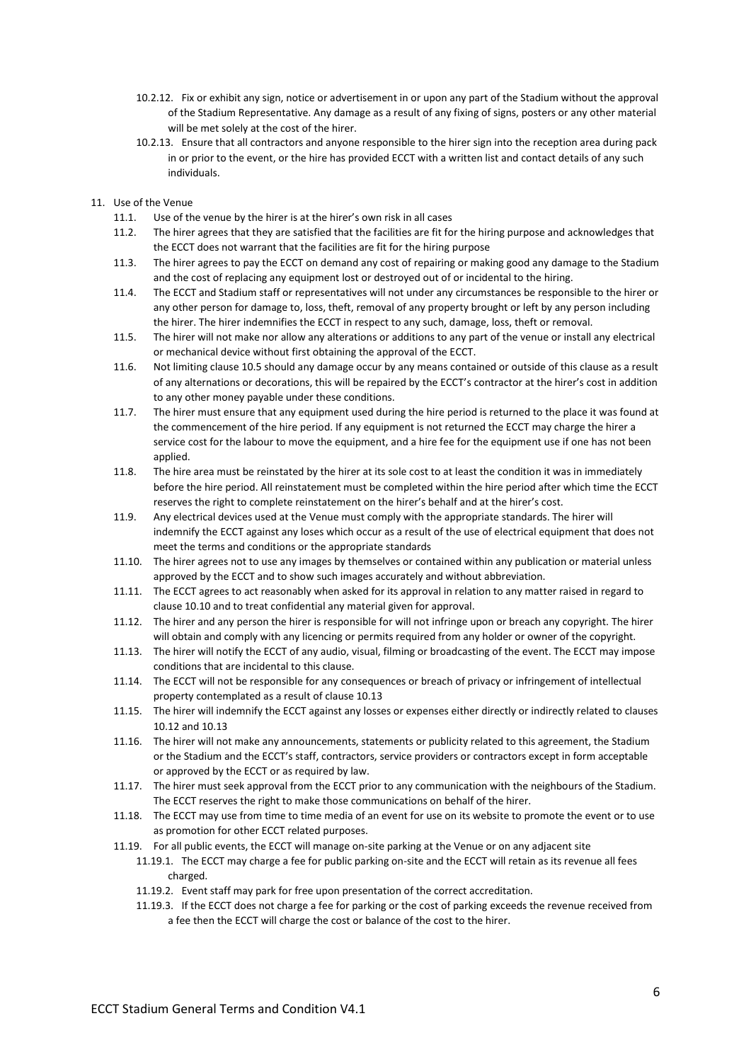- 10.2.12. Fix or exhibit any sign, notice or advertisement in or upon any part of the Stadium without the approval of the Stadium Representative. Any damage as a result of any fixing of signs, posters or any other material will be met solely at the cost of the hirer.
- 10.2.13. Ensure that all contractors and anyone responsible to the hirer sign into the reception area during pack in or prior to the event, or the hire has provided ECCT with a written list and contact details of any such individuals.
- 11. Use of the Venue
	- 11.1. Use of the venue by the hirer is at the hirer's own risk in all cases
	- 11.2. The hirer agrees that they are satisfied that the facilities are fit for the hiring purpose and acknowledges that the ECCT does not warrant that the facilities are fit for the hiring purpose
	- 11.3. The hirer agrees to pay the ECCT on demand any cost of repairing or making good any damage to the Stadium and the cost of replacing any equipment lost or destroyed out of or incidental to the hiring.
	- 11.4. The ECCT and Stadium staff or representatives will not under any circumstances be responsible to the hirer or any other person for damage to, loss, theft, removal of any property brought or left by any person including the hirer. The hirer indemnifies the ECCT in respect to any such, damage, loss, theft or removal.
	- 11.5. The hirer will not make nor allow any alterations or additions to any part of the venue or install any electrical or mechanical device without first obtaining the approval of the ECCT.
	- 11.6. Not limiting clause 10.5 should any damage occur by any means contained or outside of this clause as a result of any alternations or decorations, this will be repaired by the ECCT's contractor at the hirer's cost in addition to any other money payable under these conditions.
	- 11.7. The hirer must ensure that any equipment used during the hire period is returned to the place it was found at the commencement of the hire period. If any equipment is not returned the ECCT may charge the hirer a service cost for the labour to move the equipment, and a hire fee for the equipment use if one has not been applied.
	- 11.8. The hire area must be reinstated by the hirer at its sole cost to at least the condition it was in immediately before the hire period. All reinstatement must be completed within the hire period after which time the ECCT reserves the right to complete reinstatement on the hirer's behalf and at the hirer's cost.
	- 11.9. Any electrical devices used at the Venue must comply with the appropriate standards. The hirer will indemnify the ECCT against any loses which occur as a result of the use of electrical equipment that does not meet the terms and conditions or the appropriate standards
	- 11.10. The hirer agrees not to use any images by themselves or contained within any publication or material unless approved by the ECCT and to show such images accurately and without abbreviation.
	- 11.11. The ECCT agrees to act reasonably when asked for its approval in relation to any matter raised in regard to clause 10.10 and to treat confidential any material given for approval.
	- 11.12. The hirer and any person the hirer is responsible for will not infringe upon or breach any copyright. The hirer will obtain and comply with any licencing or permits required from any holder or owner of the copyright.
	- 11.13. The hirer will notify the ECCT of any audio, visual, filming or broadcasting of the event. The ECCT may impose conditions that are incidental to this clause.
	- 11.14. The ECCT will not be responsible for any consequences or breach of privacy or infringement of intellectual property contemplated as a result of clause 10.13
	- 11.15. The hirer will indemnify the ECCT against any losses or expenses either directly or indirectly related to clauses 10.12 and 10.13
	- 11.16. The hirer will not make any announcements, statements or publicity related to this agreement, the Stadium or the Stadium and the ECCT's staff, contractors, service providers or contractors except in form acceptable or approved by the ECCT or as required by law.
	- 11.17. The hirer must seek approval from the ECCT prior to any communication with the neighbours of the Stadium. The ECCT reserves the right to make those communications on behalf of the hirer.
	- 11.18. The ECCT may use from time to time media of an event for use on its website to promote the event or to use as promotion for other ECCT related purposes.
	- 11.19. For all public events, the ECCT will manage on-site parking at the Venue or on any adjacent site
		- 11.19.1. The ECCT may charge a fee for public parking on-site and the ECCT will retain as its revenue all fees charged.
			- 11.19.2. Event staff may park for free upon presentation of the correct accreditation.
			- 11.19.3. If the ECCT does not charge a fee for parking or the cost of parking exceeds the revenue received from a fee then the ECCT will charge the cost or balance of the cost to the hirer.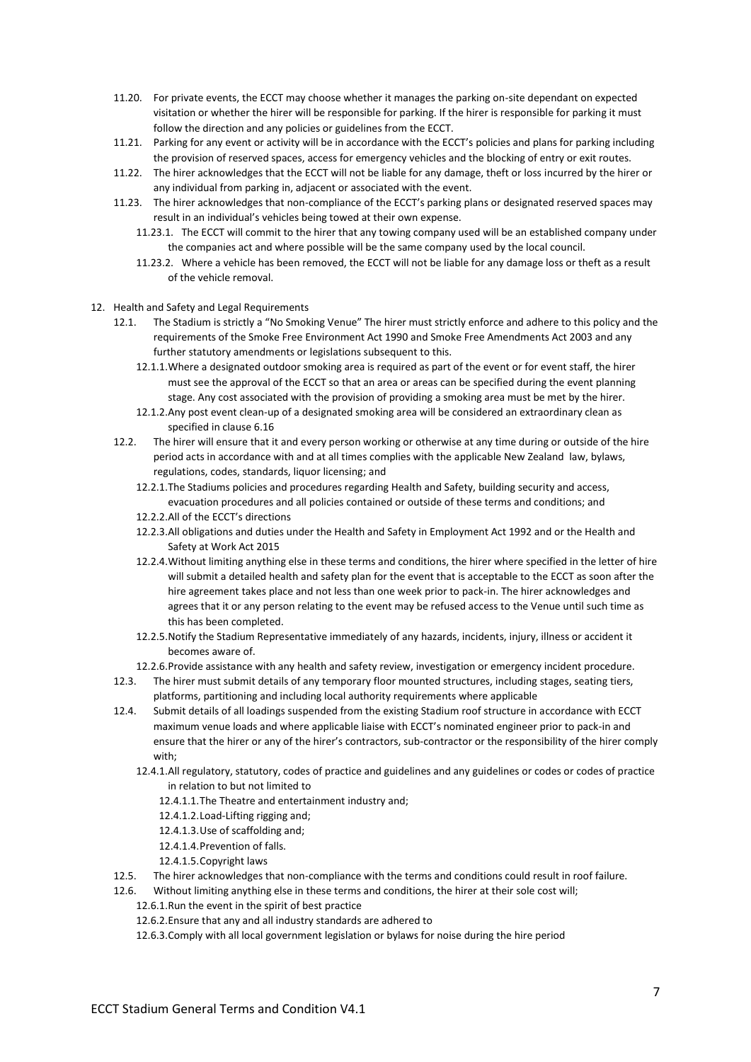- 11.20. For private events, the ECCT may choose whether it manages the parking on-site dependant on expected visitation or whether the hirer will be responsible for parking. If the hirer is responsible for parking it must follow the direction and any policies or guidelines from the ECCT.
- 11.21. Parking for any event or activity will be in accordance with the ECCT's policies and plans for parking including the provision of reserved spaces, access for emergency vehicles and the blocking of entry or exit routes.
- 11.22. The hirer acknowledges that the ECCT will not be liable for any damage, theft or loss incurred by the hirer or any individual from parking in, adjacent or associated with the event.
- 11.23. The hirer acknowledges that non-compliance of the ECCT's parking plans or designated reserved spaces may result in an individual's vehicles being towed at their own expense.
	- 11.23.1. The ECCT will commit to the hirer that any towing company used will be an established company under the companies act and where possible will be the same company used by the local council.
	- 11.23.2. Where a vehicle has been removed, the ECCT will not be liable for any damage loss or theft as a result of the vehicle removal.
- 12. Health and Safety and Legal Requirements
	- 12.1. The Stadium is strictly a "No Smoking Venue" The hirer must strictly enforce and adhere to this policy and the requirements of the Smoke Free Environment Act 1990 and Smoke Free Amendments Act 2003 and any further statutory amendments or legislations subsequent to this.
		- 12.1.1.Where a designated outdoor smoking area is required as part of the event or for event staff, the hirer must see the approval of the ECCT so that an area or areas can be specified during the event planning stage. Any cost associated with the provision of providing a smoking area must be met by the hirer.
		- 12.1.2.Any post event clean-up of a designated smoking area will be considered an extraordinary clean as specified in clause 6.16
	- 12.2. The hirer will ensure that it and every person working or otherwise at any time during or outside of the hire period acts in accordance with and at all times complies with the applicable New Zealand law, bylaws, regulations, codes, standards, liquor licensing; and
		- 12.2.1.The Stadiums policies and procedures regarding Health and Safety, building security and access, evacuation procedures and all policies contained or outside of these terms and conditions; and
		- 12.2.2.All of the ECCT's directions
		- 12.2.3.All obligations and duties under the Health and Safety in Employment Act 1992 and or the Health and Safety at Work Act 2015
		- 12.2.4.Without limiting anything else in these terms and conditions, the hirer where specified in the letter of hire will submit a detailed health and safety plan for the event that is acceptable to the ECCT as soon after the hire agreement takes place and not less than one week prior to pack-in. The hirer acknowledges and agrees that it or any person relating to the event may be refused access to the Venue until such time as this has been completed.
		- 12.2.5.Notify the Stadium Representative immediately of any hazards, incidents, injury, illness or accident it becomes aware of.
		- 12.2.6.Provide assistance with any health and safety review, investigation or emergency incident procedure.
	- 12.3. The hirer must submit details of any temporary floor mounted structures, including stages, seating tiers, platforms, partitioning and including local authority requirements where applicable
	- 12.4. Submit details of all loadings suspended from the existing Stadium roof structure in accordance with ECCT maximum venue loads and where applicable liaise with ECCT's nominated engineer prior to pack-in and ensure that the hirer or any of the hirer's contractors, sub-contractor or the responsibility of the hirer comply with:
		- 12.4.1.All regulatory, statutory, codes of practice and guidelines and any guidelines or codes or codes of practice in relation to but not limited to
			- 12.4.1.1.The Theatre and entertainment industry and;
			- 12.4.1.2.Load-Lifting rigging and;
			- 12.4.1.3.Use of scaffolding and;
			- 12.4.1.4.Prevention of falls.
			- 12.4.1.5.Copyright laws
	- 12.5. The hirer acknowledges that non-compliance with the terms and conditions could result in roof failure.
	- 12.6. Without limiting anything else in these terms and conditions, the hirer at their sole cost will;
		- 12.6.1.Run the event in the spirit of best practice
		- 12.6.2.Ensure that any and all industry standards are adhered to
		- 12.6.3.Comply with all local government legislation or bylaws for noise during the hire period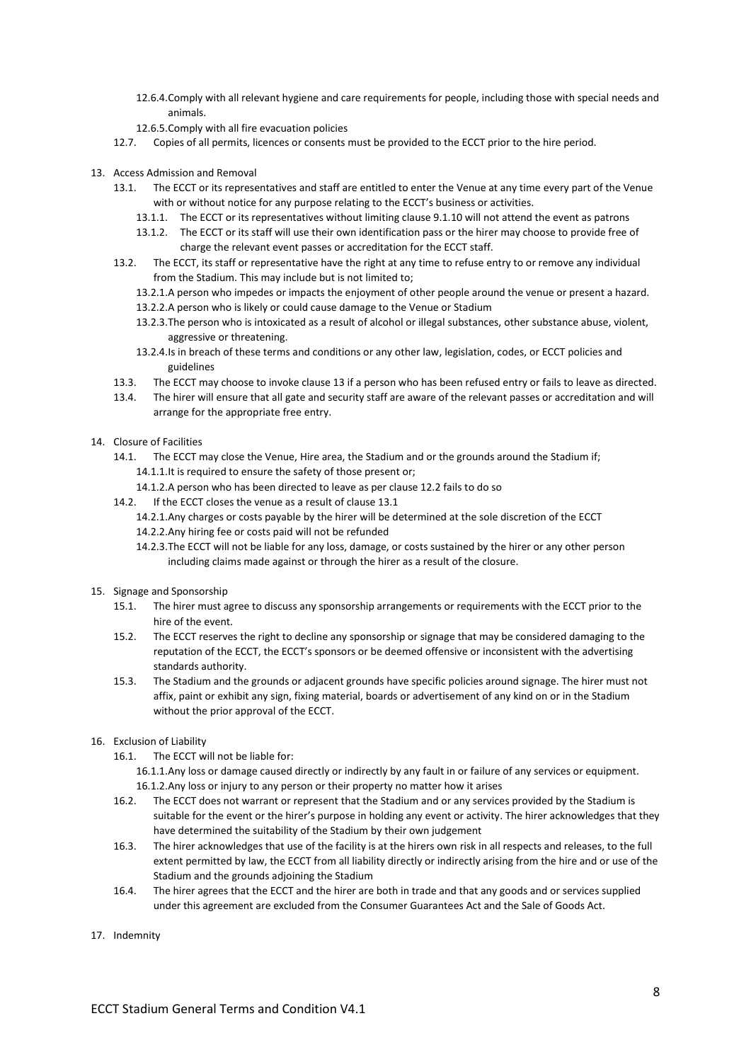- 12.6.4.Comply with all relevant hygiene and care requirements for people, including those with special needs and animals.
- 12.6.5.Comply with all fire evacuation policies
- 12.7. Copies of all permits, licences or consents must be provided to the ECCT prior to the hire period.
- 13. Access Admission and Removal
	- 13.1. The ECCT or its representatives and staff are entitled to enter the Venue at any time every part of the Venue with or without notice for any purpose relating to the ECCT's business or activities.
		- 13.1.1. The ECCT or its representatives without limiting clause 9.1.10 will not attend the event as patrons
		- 13.1.2. The ECCT or its staff will use their own identification pass or the hirer may choose to provide free of charge the relevant event passes or accreditation for the ECCT staff.
	- 13.2. The ECCT, its staff or representative have the right at any time to refuse entry to or remove any individual from the Stadium. This may include but is not limited to;
		- 13.2.1.A person who impedes or impacts the enjoyment of other people around the venue or present a hazard.
		- 13.2.2.A person who is likely or could cause damage to the Venue or Stadium
		- 13.2.3.The person who is intoxicated as a result of alcohol or illegal substances, other substance abuse, violent, aggressive or threatening.
		- 13.2.4.Is in breach of these terms and conditions or any other law, legislation, codes, or ECCT policies and guidelines
	- 13.3. The ECCT may choose to invoke clause 13 if a person who has been refused entry or fails to leave as directed.
	- 13.4. The hirer will ensure that all gate and security staff are aware of the relevant passes or accreditation and will arrange for the appropriate free entry.
- 14. Closure of Facilities
	- 14.1. The ECCT may close the Venue, Hire area, the Stadium and or the grounds around the Stadium if; 14.1.1.It is required to ensure the safety of those present or;
		- 14.1.2.A person who has been directed to leave as per clause 12.2 fails to do so
	- 14.2. If the ECCT closes the venue as a result of clause 13.1
		- 14.2.1.Any charges or costs payable by the hirer will be determined at the sole discretion of the ECCT 14.2.2.Any hiring fee or costs paid will not be refunded
		- 14.2.3.The ECCT will not be liable for any loss, damage, or costs sustained by the hirer or any other person including claims made against or through the hirer as a result of the closure.
- 15. Signage and Sponsorship
	- 15.1. The hirer must agree to discuss any sponsorship arrangements or requirements with the ECCT prior to the hire of the event.
	- 15.2. The ECCT reserves the right to decline any sponsorship or signage that may be considered damaging to the reputation of the ECCT, the ECCT's sponsors or be deemed offensive or inconsistent with the advertising standards authority.
	- 15.3. The Stadium and the grounds or adjacent grounds have specific policies around signage. The hirer must not affix, paint or exhibit any sign, fixing material, boards or advertisement of any kind on or in the Stadium without the prior approval of the ECCT.
- 16. Exclusion of Liability
	- 16.1. The ECCT will not be liable for:
		- 16.1.1.Any loss or damage caused directly or indirectly by any fault in or failure of any services or equipment. 16.1.2.Any loss or injury to any person or their property no matter how it arises
	- 16.2. The ECCT does not warrant or represent that the Stadium and or any services provided by the Stadium is suitable for the event or the hirer's purpose in holding any event or activity. The hirer acknowledges that they have determined the suitability of the Stadium by their own judgement
	- 16.3. The hirer acknowledges that use of the facility is at the hirers own risk in all respects and releases, to the full extent permitted by law, the ECCT from all liability directly or indirectly arising from the hire and or use of the Stadium and the grounds adjoining the Stadium
	- 16.4. The hirer agrees that the ECCT and the hirer are both in trade and that any goods and or services supplied under this agreement are excluded from the Consumer Guarantees Act and the Sale of Goods Act.
- 17. Indemnity